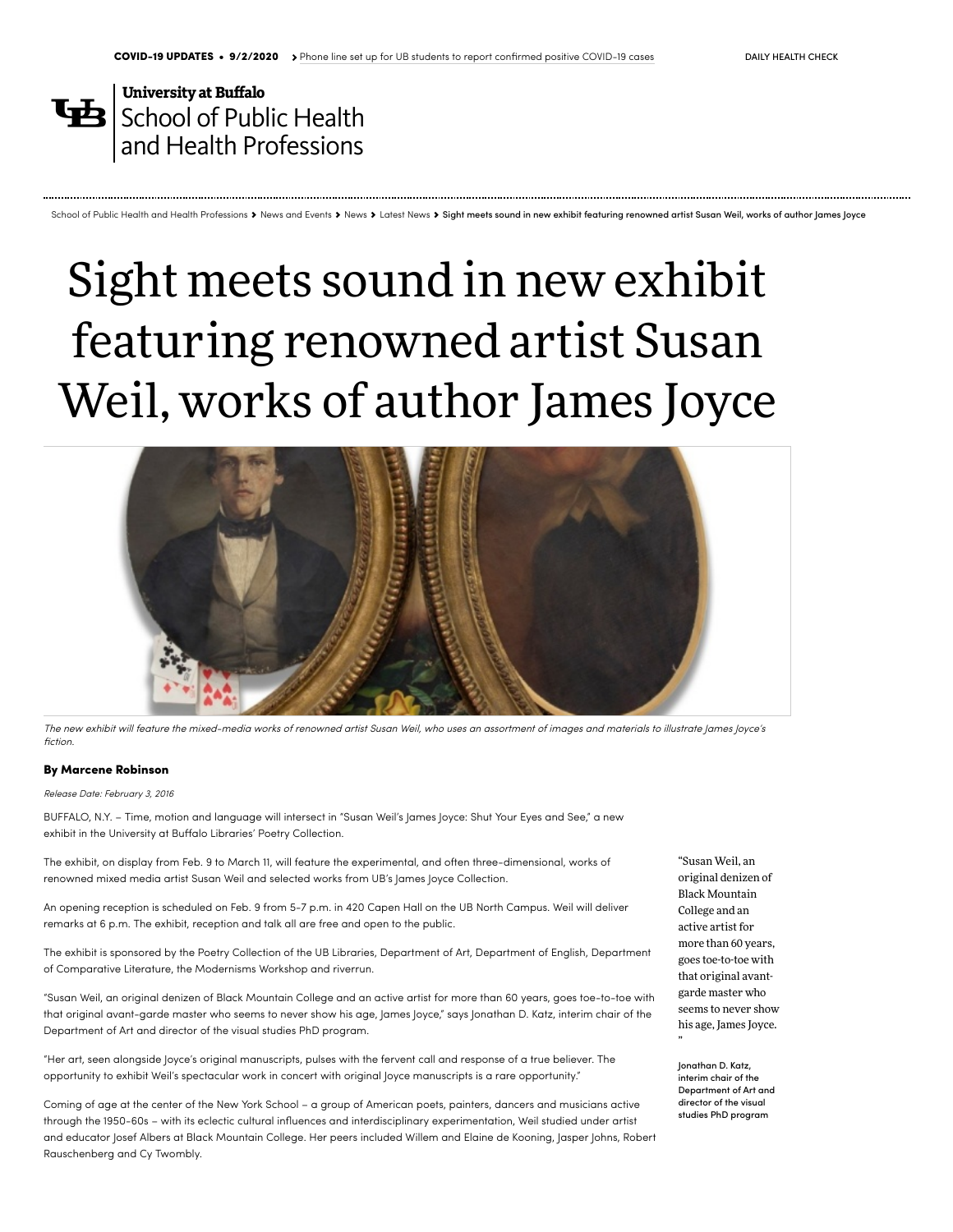## **University at Buffalo**  $\mathbf{\mathbf{\mathbf{\mathsf{E}}}}$  School of Public Health and Health [Professions](http://sphhp.buffalo.edu/)

## Sight meets sound in new exhibit featuring renowned artist Susan Weil, works of author James Joyce

School of Public Health and Health [Professions](http://sphhp.buffalo.edu/) > News and [Events](http://sphhp.buffalo.edu/home/news-events/news-archive/latest-news.html) > [News](http://sphhp.buffalo.edu/home/news-events/news-archive/latest-news.html) > [Latest](http://sphhp.buffalo.edu/home/news-events/news-archive/latest-news.html) News > Sight meets sound in new exhibit featuring renowned artist Susan Weil, works of author lames lovce



The new exhibit will feature the mixed-media works of renowned artist Susan Weil, who uses an assortment of images and materials to illustrate James Joyce's fiction.

## By Marcene [Robinson](http://www.buffalo.edu/news/about-us/staff/robinson.html)

Release Date: February 3, 2016

BUFFALO, N.Y. – Time, motion and language will intersect in "Susan Weil's James Joyce: Shut Your Eyes and See," a new exhibit in the University at Buffalo Libraries' Poetry Collection.

The exhibit, on display from Feb. 9 to March 11, will feature the experimental, and often three-dimensional, works of renowned mixed media artist Susan Weil and selected works from UB's James Joyce Collection.

An opening reception is scheduled on Feb. 9 from 5-7 p.m. in 420 Capen Hall on the UB North Campus. Weil will deliver remarks at 6 p.m. The exhibit, reception and talk all are free and open to the public.

The exhibit is sponsored by the Poetry Collection of the UB Libraries, Department of Art, Department of English, Department of Comparative Literature, the Modernisms Workshop and riverrun.

"Susan Weil, an original denizen of Black Mountain College and an active artist for more than 60 years, goes toe-to-toe with that original avant-garde master who seems to never show his age, James Joyce," says Jonathan D. Katz, interim chair of the Department of Art and director of the visual studies PhD program.

"Her art, seen alongside Joyce's original manuscripts, pulses with the fervent call and response of a true believer. The opportunity to exhibit Weil's spectacular work in concert with original Joyce manuscripts is a rare opportunity."

Coming of age at the center of the New York School – a group of American poets, painters, dancers and musicians active through the 1950-60s – with its eclectic cultural influences and interdisciplinary experimentation, Weil studied under artist and educator Josef Albers at Black Mountain College. Her peers included Willem and Elaine de Kooning, Jasper Johns, Robert Rauschenberg and Cy Twombly.

"Susan Weil, an original denizen of Black Mountain College and an active artist for more than 60 years, goes toe-to-toe with that original avantgarde master who seems to never show his age, James Joyce.

Jonathan D. Katz, interim chair of the Department of Art and director of the visual studies PhD program

"